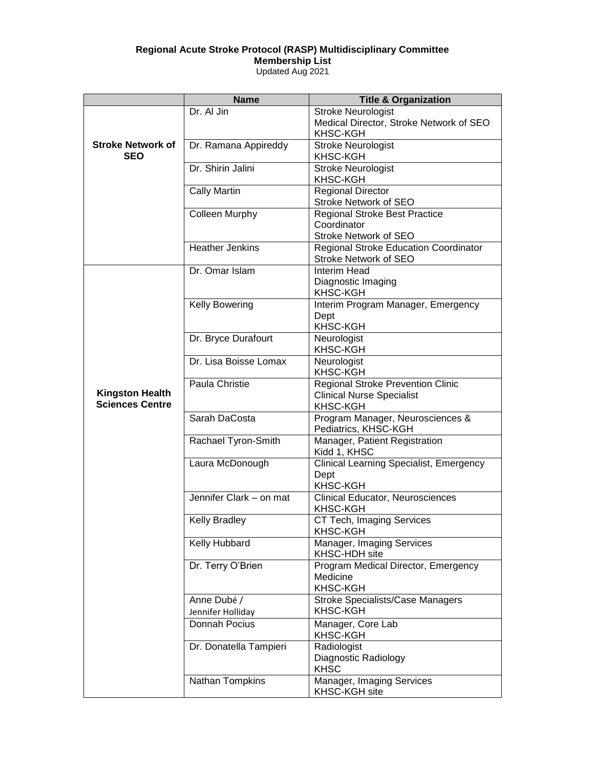## **Regional Acute Stroke Protocol (RASP) Multidisciplinary Committee**

**Membership List**

Updated Aug 2021

|                                                  | <b>Name</b>                      | <b>Title &amp; Organization</b>                                                                 |
|--------------------------------------------------|----------------------------------|-------------------------------------------------------------------------------------------------|
|                                                  | Dr. Al Jin                       | <b>Stroke Neurologist</b><br>Medical Director, Stroke Network of SEO<br><b>KHSC-KGH</b>         |
| <b>Stroke Network of</b><br><b>SEO</b>           | Dr. Ramana Appireddy             | <b>Stroke Neurologist</b><br><b>KHSC-KGH</b>                                                    |
|                                                  | Dr. Shirin Jalini                | <b>Stroke Neurologist</b><br><b>KHSC-KGH</b>                                                    |
|                                                  | <b>Cally Martin</b>              | <b>Regional Director</b><br>Stroke Network of SEO                                               |
|                                                  | <b>Colleen Murphy</b>            | <b>Regional Stroke Best Practice</b><br>Coordinator<br><b>Stroke Network of SEO</b>             |
|                                                  | <b>Heather Jenkins</b>           | <b>Regional Stroke Education Coordinator</b><br>Stroke Network of SEO                           |
|                                                  | Dr. Omar Islam                   | Interim Head<br>Diagnostic Imaging<br><b>KHSC-KGH</b>                                           |
|                                                  | <b>Kelly Bowering</b>            | Interim Program Manager, Emergency<br>Dept<br>KHSC-KGH                                          |
|                                                  | Dr. Bryce Durafourt              | Neurologist<br><b>KHSC-KGH</b>                                                                  |
|                                                  | Dr. Lisa Boisse Lomax            | Neurologist<br><b>KHSC-KGH</b>                                                                  |
| <b>Kingston Health</b><br><b>Sciences Centre</b> | Paula Christie                   | <b>Regional Stroke Prevention Clinic</b><br><b>Clinical Nurse Specialist</b><br><b>KHSC-KGH</b> |
|                                                  | Sarah DaCosta                    | Program Manager, Neurosciences &<br>Pediatrics, KHSC-KGH                                        |
|                                                  | Rachael Tyron-Smith              | Manager, Patient Registration<br>Kidd 1, KHSC                                                   |
|                                                  | Laura McDonough                  | <b>Clinical Learning Specialist, Emergency</b><br>Dept<br><b>KHSC-KGH</b>                       |
|                                                  | Jennifer Clark - on mat          | Clinical Educator, Neurosciences<br><b>KHSC-KGH</b>                                             |
|                                                  | <b>Kelly Bradley</b>             | CT Tech, Imaging Services<br>KHSC-KGH                                                           |
|                                                  | Kelly Hubbard                    | Manager, Imaging Services<br>KHSC-HDH site                                                      |
|                                                  | Dr. Terry O'Brien                | Program Medical Director, Emergency<br>Medicine<br><b>KHSC-KGH</b>                              |
|                                                  | Anne Dubé /<br>Jennifer Holliday | <b>Stroke Specialists/Case Managers</b><br><b>KHSC-KGH</b>                                      |
|                                                  | Donnah Pocius                    | Manager, Core Lab<br><b>KHSC-KGH</b>                                                            |
|                                                  | Dr. Donatella Tampieri           | Radiologist<br>Diagnostic Radiology<br><b>KHSC</b>                                              |
|                                                  | Nathan Tompkins                  | Manager, Imaging Services<br>KHSC-KGH site                                                      |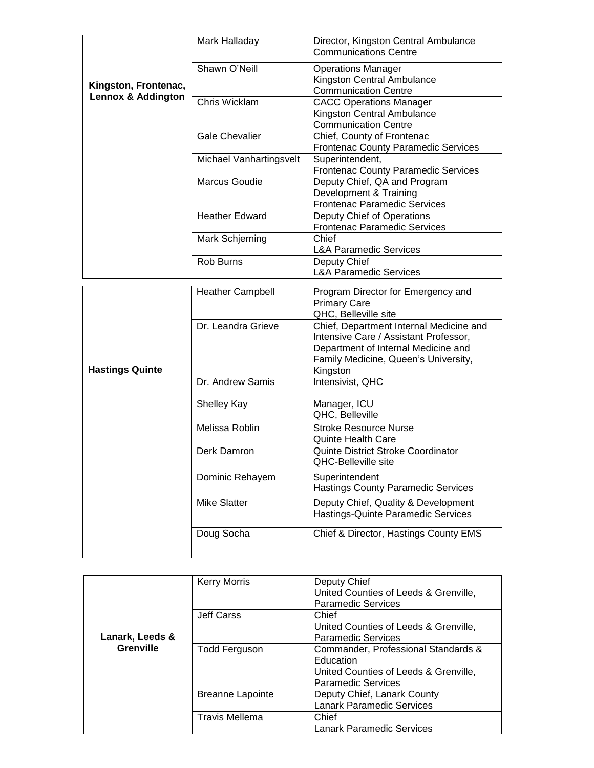|                                                       | Mark Halladay           | Director, Kingston Central Ambulance<br><b>Communications Centre</b>                          |
|-------------------------------------------------------|-------------------------|-----------------------------------------------------------------------------------------------|
| Kingston, Frontenac,<br><b>Lennox &amp; Addington</b> | Shawn O'Neill           | <b>Operations Manager</b><br>Kingston Central Ambulance<br><b>Communication Centre</b>        |
|                                                       | Chris Wicklam           | <b>CACC Operations Manager</b><br>Kingston Central Ambulance<br><b>Communication Centre</b>   |
|                                                       | <b>Gale Chevalier</b>   | Chief, County of Frontenac<br><b>Frontenac County Paramedic Services</b>                      |
|                                                       | Michael Vanhartingsvelt | Superintendent,<br><b>Frontenac County Paramedic Services</b>                                 |
|                                                       | Marcus Goudie           | Deputy Chief, QA and Program<br>Development & Training<br><b>Frontenac Paramedic Services</b> |
|                                                       | <b>Heather Edward</b>   | Deputy Chief of Operations<br><b>Frontenac Paramedic Services</b>                             |
|                                                       | Mark Schjerning         | Chief<br><b>L&amp;A Paramedic Services</b>                                                    |
|                                                       | Rob Burns               | Deputy Chief<br><b>L&amp;A Paramedic Services</b>                                             |

|                        | <b>Heather Campbell</b> | Program Director for Emergency and<br><b>Primary Care</b><br>QHC, Belleville site                                                                                           |
|------------------------|-------------------------|-----------------------------------------------------------------------------------------------------------------------------------------------------------------------------|
| <b>Hastings Quinte</b> | Dr. Leandra Grieve      | Chief, Department Internal Medicine and<br>Intensive Care / Assistant Professor,<br>Department of Internal Medicine and<br>Family Medicine, Queen's University,<br>Kingston |
|                        | Dr. Andrew Samis        | Intensivist, QHC                                                                                                                                                            |
|                        | <b>Shelley Kay</b>      | Manager, ICU<br>QHC, Belleville                                                                                                                                             |
|                        | Melissa Roblin          | Stroke Resource Nurse<br><b>Quinte Health Care</b>                                                                                                                          |
|                        | Derk Damron             | <b>Quinte District Stroke Coordinator</b><br><b>QHC-Belleville site</b>                                                                                                     |
|                        | Dominic Rehayem         | Superintendent<br><b>Hastings County Paramedic Services</b>                                                                                                                 |
|                        | Mike Slatter            | Deputy Chief, Quality & Development<br>Hastings-Quinte Paramedic Services                                                                                                   |
|                        | Doug Socha              | Chief & Director, Hastings County EMS                                                                                                                                       |

|                 | <b>Kerry Morris</b>     | Deputy Chief                          |
|-----------------|-------------------------|---------------------------------------|
|                 |                         | United Counties of Leeds & Grenville, |
|                 |                         | <b>Paramedic Services</b>             |
|                 | Jeff Carss              | Chief                                 |
|                 |                         | United Counties of Leeds & Grenville, |
| Lanark, Leeds & |                         | <b>Paramedic Services</b>             |
| Grenville       | <b>Todd Ferguson</b>    | Commander, Professional Standards &   |
|                 |                         | Education                             |
|                 |                         | United Counties of Leeds & Grenville, |
|                 |                         | <b>Paramedic Services</b>             |
|                 | <b>Breanne Lapointe</b> | Deputy Chief, Lanark County           |
|                 |                         | <b>Lanark Paramedic Services</b>      |
|                 | <b>Travis Mellema</b>   | Chief                                 |
|                 |                         | <b>Lanark Paramedic Services</b>      |